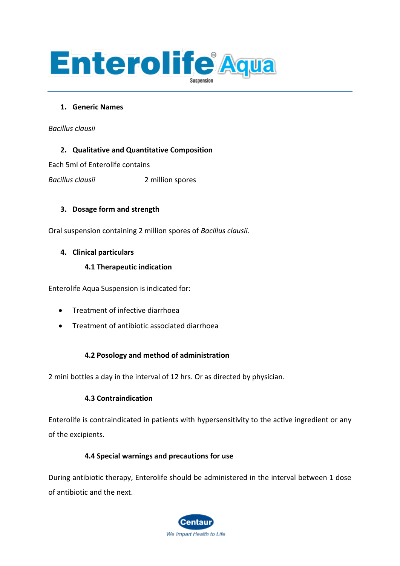

#### **1. Generic Names**

*Bacillus clausii*

## **2. Qualitative and Quantitative Composition**

Each 5ml of Enterolife contains

*Bacillus clausii* 2 million spores

## **3. Dosage form and strength**

Oral suspension containing 2 million spores of *Bacillus clausii*.

## **4. Clinical particulars**

## **4.1 Therapeutic indication**

Enterolife Aqua Suspension is indicated for:

- Treatment of infective diarrhoea
- Treatment of antibiotic associated diarrhoea

# **4.2 Posology and method of administration**

2 mini bottles a day in the interval of 12 hrs. Or as directed by physician.

#### **4.3 Contraindication**

Enterolife is contraindicated in patients with hypersensitivity to the active ingredient or any of the excipients.

# **4.4 Special warnings and precautions for use**

During antibiotic therapy, Enterolife should be administered in the interval between 1 dose of antibiotic and the next.

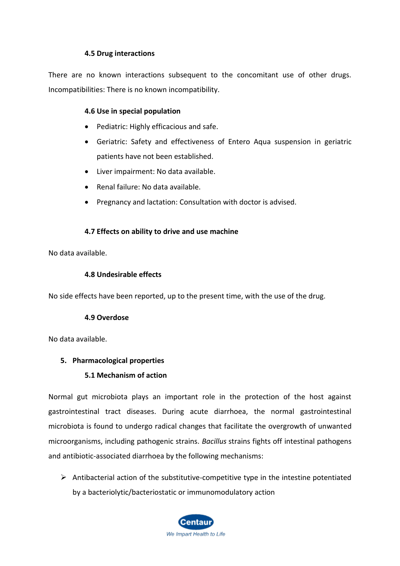## **4.5 Drug interactions**

There are no known interactions subsequent to the concomitant use of other drugs. Incompatibilities: There is no known incompatibility.

#### **4.6 Use in special population**

- Pediatric: Highly efficacious and safe.
- Geriatric: Safety and effectiveness of Entero Aqua suspension in geriatric patients have not been established.
- Liver impairment: No data available.
- Renal failure: No data available.
- Pregnancy and lactation: Consultation with doctor is advised.

## **4.7 Effects on ability to drive and use machine**

No data available.

#### **4.8 Undesirable effects**

No side effects have been reported, up to the present time, with the use of the drug.

#### **4.9 Overdose**

No data available.

# **5. Pharmacological properties**

#### **5.1 Mechanism of action**

Normal gut microbiota plays an important role in the protection of the host against gastrointestinal tract diseases. During acute diarrhoea, the normal gastrointestinal microbiota is found to undergo radical changes that facilitate the overgrowth of unwanted microorganisms, including pathogenic strains. *Bacillus* strains fights off intestinal pathogens and antibiotic-associated diarrhoea by the following mechanisms:

 $\triangleright$  Antibacterial action of the substitutive-competitive type in the intestine potentiated by a bacteriolytic/bacteriostatic or immunomodulatory action

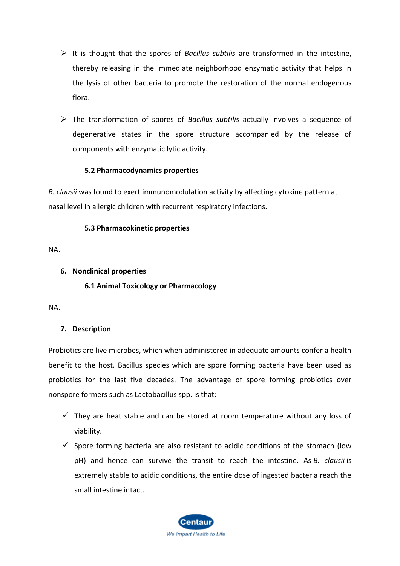- ➢ It is thought that the spores of *Bacillus subtilis* are transformed in the intestine, thereby releasing in the immediate neighborhood enzymatic activity that helps in the lysis of other bacteria to promote the restoration of the normal endogenous flora.
- ➢ The transformation of spores of *Bacillus subtilis* actually involves a sequence of degenerative states in the spore structure accompanied by the release of components with enzymatic lytic activity.

## **5.2 Pharmacodynamics properties**

*B. clausii* was found to exert immunomodulation activity by affecting cytokine pattern at nasal level in allergic children with recurrent respiratory infections.

## **5.3 Pharmacokinetic properties**

NA.

## **6. Nonclinical properties**

## **6.1 Animal Toxicology or Pharmacology**

NA.

# **7. Description**

Probiotics are live microbes, which when administered in adequate amounts confer a health benefit to the host. Bacillus species which are spore forming bacteria have been used as probiotics for the last five decades. The advantage of spore forming probiotics over nonspore formers such as Lactobacillus spp. is that:

- $\checkmark$  They are heat stable and can be stored at room temperature without any loss of viability.
- $\checkmark$  Spore forming bacteria are also resistant to acidic conditions of the stomach (low pH) and hence can survive the transit to reach the intestine. As *B. clausii* is extremely stable to acidic conditions, the entire dose of ingested bacteria reach the small intestine intact.

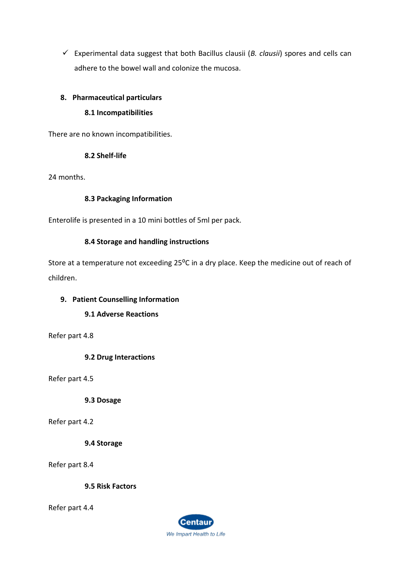$\checkmark$  Experimental data suggest that both Bacillus clausii (*B. clausii*) spores and cells can adhere to the bowel wall and colonize the mucosa.

# **8. Pharmaceutical particulars**

# **8.1 Incompatibilities**

There are no known incompatibilities.

# **8.2 Shelf-life**

24 months.

# **8.3 Packaging Information**

Enterolife is presented in a 10 mini bottles of 5ml per pack.

# **8.4 Storage and handling instructions**

Store at a temperature not exceeding 25<sup>o</sup>C in a dry place. Keep the medicine out of reach of children.

# **9. Patient Counselling Information**

# **9.1 Adverse Reactions**

Refer part 4.8

# **9.2 Drug Interactions**

Refer part 4.5

**9.3 Dosage**

Refer part 4.2

**9.4 Storage**

Refer part 8.4

**9.5 Risk Factors**

Refer part 4.4